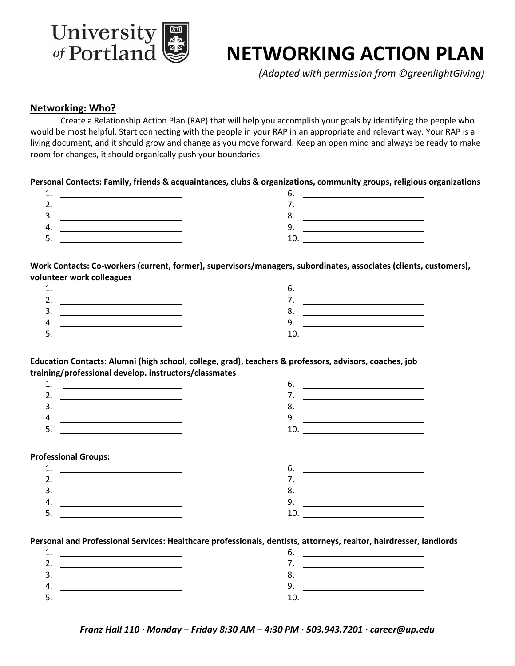

# **NETWORKING ACTION PLAN**

*(Adapted with permission from ©greenlightGiving)*

#### **Networking: Who?**

Create a Relationship Action Plan (RAP) that will help you accomplish your goals by identifying the people who would be most helpful. Start connecting with the people in your RAP in an appropriate and relevant way. Your RAP is a living document, and it should grow and change as you move forward. Keep an open mind and always be ready to make room for changes, it should organically push your boundaries.

**Personal Contacts: Family, friends & acquaintances, clubs & organizations, community groups, religious organizations** 

| . .      |  |
|----------|--|
| ۷.       |  |
| J.       |  |
|          |  |
| <b>.</b> |  |

**Work Contacts: Co-workers (current, former), supervisors/managers, subordinates, associates (clients, customers), volunteer work colleagues** 

| ∸.       |  |
|----------|--|
|          |  |
| J.       |  |
|          |  |
| <u>.</u> |  |

**Education Contacts: Alumni (high school, college, grad), teachers & professors, advisors, coaches, job training/professional develop. instructors/classmates**



#### **Professional Groups:**



**Personal and Professional Services: Healthcare professionals, dentists, attorneys, realtor, hairdresser, landlords**

|     | <u> Andrew American and American and American and American and American and American and American and American an</u> |
|-----|-----------------------------------------------------------------------------------------------------------------------|
|     |                                                                                                                       |
| 3.  |                                                                                                                       |
| 4   |                                                                                                                       |
| ، ب |                                                                                                                       |

*Franz Hall 110 ∙ Monday – Friday 8:30 AM – 4:30 PM ∙ 503.943.7201 ∙ career@up.edu*